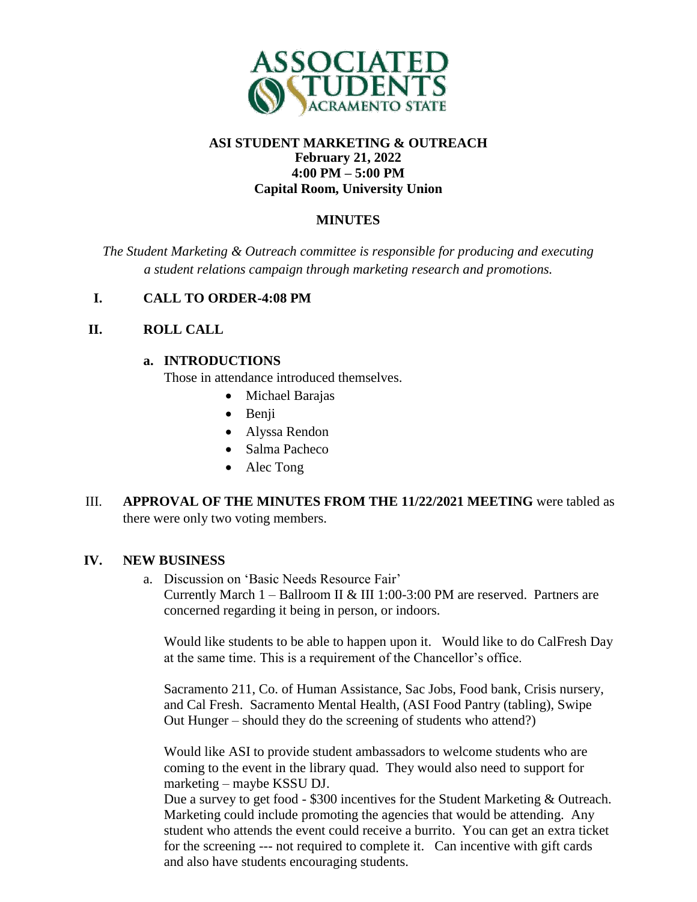

# **ASI STUDENT MARKETING & OUTREACH February 21, 2022 4:00 PM – 5:00 PM Capital Room, University Union**

# **MINUTES**

*The Student Marketing & Outreach committee is responsible for producing and executing a student relations campaign through marketing research and promotions.*

## **I. CALL TO ORDER-4:08 PM**

## **II. ROLL CALL**

### **a. INTRODUCTIONS**

Those in attendance introduced themselves.

- Michael Barajas
- Benji
- Alyssa Rendon
- Salma Pacheco
- Alec Tong
- III. **APPROVAL OF THE MINUTES FROM THE 11/22/2021 MEETING** were tabled as there were only two voting members.

## **IV. NEW BUSINESS**

a. Discussion on 'Basic Needs Resource Fair' Currently March  $1 -$  Ballroom II & III 1:00-3:00 PM are reserved. Partners are concerned regarding it being in person, or indoors.

Would like students to be able to happen upon it. Would like to do CalFresh Day at the same time. This is a requirement of the Chancellor's office.

Sacramento 211, Co. of Human Assistance, Sac Jobs, Food bank, Crisis nursery, and Cal Fresh. Sacramento Mental Health, (ASI Food Pantry (tabling), Swipe Out Hunger – should they do the screening of students who attend?)

Would like ASI to provide student ambassadors to welcome students who are coming to the event in the library quad. They would also need to support for marketing – maybe KSSU DJ.

Due a survey to get food - \$300 incentives for the Student Marketing & Outreach. Marketing could include promoting the agencies that would be attending. Any student who attends the event could receive a burrito. You can get an extra ticket for the screening --- not required to complete it. Can incentive with gift cards and also have students encouraging students.